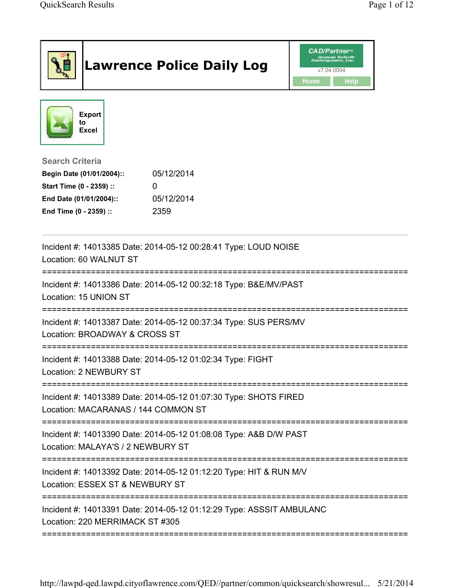|                                                                                                         | <b>Lawrence Police Daily Log</b>                                   | <b>CAD/Partner</b> ®<br>lopment, Inc.<br>v7.04.0004<br>Home<br>Help |
|---------------------------------------------------------------------------------------------------------|--------------------------------------------------------------------|---------------------------------------------------------------------|
| <b>Export</b><br>to<br><b>Excel</b>                                                                     |                                                                    |                                                                     |
| <b>Search Criteria</b>                                                                                  |                                                                    |                                                                     |
| Begin Date (01/01/2004)::                                                                               | 05/12/2014                                                         |                                                                     |
| Start Time (0 - 2359) ::                                                                                | 0                                                                  |                                                                     |
| End Date (01/01/2004)::<br>End Time (0 - 2359) ::                                                       | 05/12/2014<br>2359                                                 |                                                                     |
|                                                                                                         | Incident #: 14013385 Date: 2014-05-12 00:28:41 Type: LOUD NOISE    |                                                                     |
| Location: 60 WALNUT ST                                                                                  |                                                                    |                                                                     |
| Location: 15 UNION ST                                                                                   | Incident #: 14013386 Date: 2014-05-12 00:32:18 Type: B&E/MV/PAST   |                                                                     |
| Location: BROADWAY & CROSS ST                                                                           | Incident #: 14013387 Date: 2014-05-12 00:37:34 Type: SUS PERS/MV   |                                                                     |
| Location: 2 NEWBURY ST                                                                                  | Incident #: 14013388 Date: 2014-05-12 01:02:34 Type: FIGHT         |                                                                     |
| Location: MACARANAS / 144 COMMON ST                                                                     | Incident #: 14013389 Date: 2014-05-12 01:07:30 Type: SHOTS FIRED   |                                                                     |
| Location: MALAYA'S / 2 NEWBURY ST                                                                       | Incident #: 14013390 Date: 2014-05-12 01:08:08 Type: A&B D/W PAST  |                                                                     |
| Location: ESSEX ST & NEWBURY ST                                                                         | Incident #: 14013392 Date: 2014-05-12 01:12:20 Type: HIT & RUN M/V |                                                                     |
| Incident #: 14013391 Date: 2014-05-12 01:12:29 Type: ASSSIT AMBULANC<br>Location: 220 MERRIMACK ST #305 |                                                                    |                                                                     |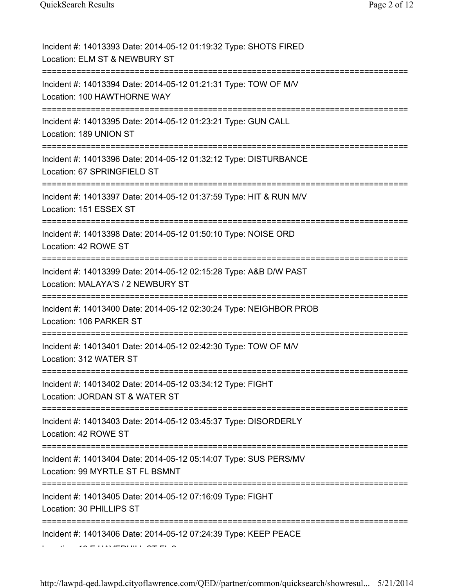| Incident #: 14013393 Date: 2014-05-12 01:19:32 Type: SHOTS FIRED<br>Location: ELM ST & NEWBURY ST                           |
|-----------------------------------------------------------------------------------------------------------------------------|
| Incident #: 14013394 Date: 2014-05-12 01:21:31 Type: TOW OF M/V<br>Location: 100 HAWTHORNE WAY                              |
| Incident #: 14013395 Date: 2014-05-12 01:23:21 Type: GUN CALL<br>Location: 189 UNION ST<br>================================ |
| Incident #: 14013396 Date: 2014-05-12 01:32:12 Type: DISTURBANCE<br>Location: 67 SPRINGFIELD ST                             |
| Incident #: 14013397 Date: 2014-05-12 01:37:59 Type: HIT & RUN M/V<br>Location: 151 ESSEX ST                                |
| Incident #: 14013398 Date: 2014-05-12 01:50:10 Type: NOISE ORD<br>Location: 42 ROWE ST                                      |
| Incident #: 14013399 Date: 2014-05-12 02:15:28 Type: A&B D/W PAST<br>Location: MALAYA'S / 2 NEWBURY ST                      |
| Incident #: 14013400 Date: 2014-05-12 02:30:24 Type: NEIGHBOR PROB<br>Location: 106 PARKER ST                               |
| Incident #: 14013401 Date: 2014-05-12 02:42:30 Type: TOW OF M/V<br>Location: 312 WATER ST                                   |
| Incident #: 14013402 Date: 2014-05-12 03:34:12 Type: FIGHT<br>Location: JORDAN ST & WATER ST                                |
| Incident #: 14013403 Date: 2014-05-12 03:45:37 Type: DISORDERLY<br>Location: 42 ROWE ST                                     |
| Incident #: 14013404 Date: 2014-05-12 05:14:07 Type: SUS PERS/MV<br>Location: 99 MYRTLE ST FL BSMNT                         |
| Incident #: 14013405 Date: 2014-05-12 07:16:09 Type: FIGHT<br>Location: 30 PHILLIPS ST                                      |
| Incident #: 14013406 Date: 2014-05-12 07:24:39 Type: KEEP PEACE                                                             |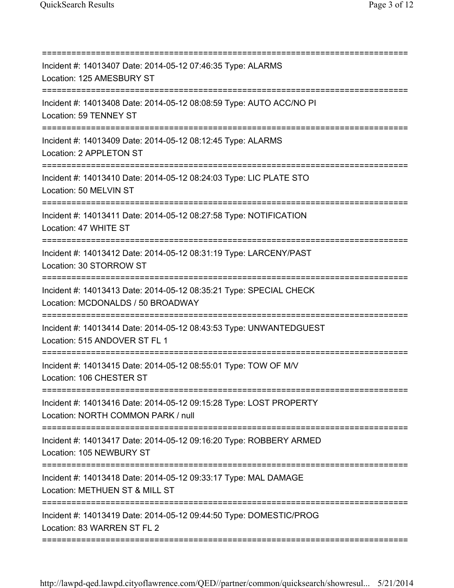| Incident #: 14013407 Date: 2014-05-12 07:46:35 Type: ALARMS<br>Location: 125 AMESBURY ST                 |
|----------------------------------------------------------------------------------------------------------|
| Incident #: 14013408 Date: 2014-05-12 08:08:59 Type: AUTO ACC/NO PI<br>Location: 59 TENNEY ST            |
| Incident #: 14013409 Date: 2014-05-12 08:12:45 Type: ALARMS<br>Location: 2 APPLETON ST                   |
| Incident #: 14013410 Date: 2014-05-12 08:24:03 Type: LIC PLATE STO<br>Location: 50 MELVIN ST             |
| Incident #: 14013411 Date: 2014-05-12 08:27:58 Type: NOTIFICATION<br>Location: 47 WHITE ST               |
| Incident #: 14013412 Date: 2014-05-12 08:31:19 Type: LARCENY/PAST<br>Location: 30 STORROW ST             |
| Incident #: 14013413 Date: 2014-05-12 08:35:21 Type: SPECIAL CHECK<br>Location: MCDONALDS / 50 BROADWAY  |
| Incident #: 14013414 Date: 2014-05-12 08:43:53 Type: UNWANTEDGUEST<br>Location: 515 ANDOVER ST FL 1      |
| Incident #: 14013415 Date: 2014-05-12 08:55:01 Type: TOW OF M/V<br>Location: 106 CHESTER ST              |
| Incident #: 14013416 Date: 2014-05-12 09:15:28 Type: LOST PROPERTY<br>Location: NORTH COMMON PARK / null |
| Incident #: 14013417 Date: 2014-05-12 09:16:20 Type: ROBBERY ARMED<br>Location: 105 NEWBURY ST           |
| Incident #: 14013418 Date: 2014-05-12 09:33:17 Type: MAL DAMAGE<br>Location: METHUEN ST & MILL ST        |
| Incident #: 14013419 Date: 2014-05-12 09:44:50 Type: DOMESTIC/PROG<br>Location: 83 WARREN ST FL 2        |
|                                                                                                          |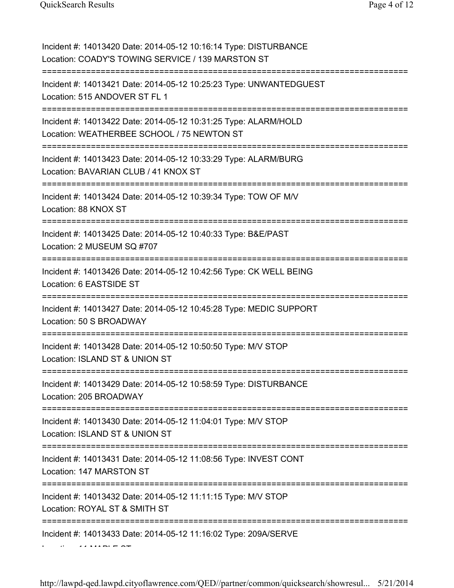| Incident #: 14013420 Date: 2014-05-12 10:16:14 Type: DISTURBANCE<br>Location: COADY'S TOWING SERVICE / 139 MARSTON ST                |
|--------------------------------------------------------------------------------------------------------------------------------------|
| Incident #: 14013421 Date: 2014-05-12 10:25:23 Type: UNWANTEDGUEST<br>Location: 515 ANDOVER ST FL 1                                  |
| Incident #: 14013422 Date: 2014-05-12 10:31:25 Type: ALARM/HOLD<br>Location: WEATHERBEE SCHOOL / 75 NEWTON ST                        |
| Incident #: 14013423 Date: 2014-05-12 10:33:29 Type: ALARM/BURG<br>Location: BAVARIAN CLUB / 41 KNOX ST<br>========================= |
| Incident #: 14013424 Date: 2014-05-12 10:39:34 Type: TOW OF M/V<br>Location: 88 KNOX ST<br>--------------------------                |
| Incident #: 14013425 Date: 2014-05-12 10:40:33 Type: B&E/PAST<br>Location: 2 MUSEUM SQ #707                                          |
| Incident #: 14013426 Date: 2014-05-12 10:42:56 Type: CK WELL BEING<br>Location: 6 EASTSIDE ST                                        |
| Incident #: 14013427 Date: 2014-05-12 10:45:28 Type: MEDIC SUPPORT<br>Location: 50 S BROADWAY                                        |
| Incident #: 14013428 Date: 2014-05-12 10:50:50 Type: M/V STOP<br>Location: ISLAND ST & UNION ST<br>-------------------------------   |
| Incident #: 14013429 Date: 2014-05-12 10:58:59 Type: DISTURBANCE<br>Location: 205 BROADWAY                                           |
| Incident #: 14013430 Date: 2014-05-12 11:04:01 Type: M/V STOP<br>Location: ISLAND ST & UNION ST                                      |
| Incident #: 14013431 Date: 2014-05-12 11:08:56 Type: INVEST CONT<br>Location: 147 MARSTON ST                                         |
| Incident #: 14013432 Date: 2014-05-12 11:11:15 Type: M/V STOP<br>Location: ROYAL ST & SMITH ST                                       |
| Incident #: 14013433 Date: 2014-05-12 11:16:02 Type: 209A/SERVE                                                                      |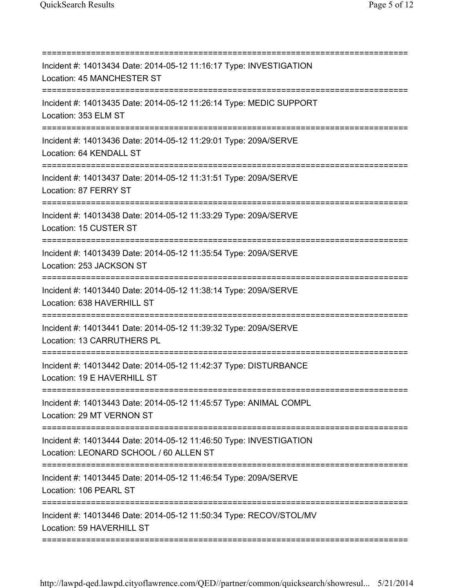| Incident #: 14013434 Date: 2014-05-12 11:16:17 Type: INVESTIGATION<br>Location: 45 MANCHESTER ST<br>:============================ |
|-----------------------------------------------------------------------------------------------------------------------------------|
| Incident #: 14013435 Date: 2014-05-12 11:26:14 Type: MEDIC SUPPORT<br>Location: 353 ELM ST                                        |
| Incident #: 14013436 Date: 2014-05-12 11:29:01 Type: 209A/SERVE<br>Location: 64 KENDALL ST                                        |
| Incident #: 14013437 Date: 2014-05-12 11:31:51 Type: 209A/SERVE<br>Location: 87 FERRY ST                                          |
| Incident #: 14013438 Date: 2014-05-12 11:33:29 Type: 209A/SERVE<br>Location: 15 CUSTER ST                                         |
| Incident #: 14013439 Date: 2014-05-12 11:35:54 Type: 209A/SERVE<br>Location: 253 JACKSON ST                                       |
| Incident #: 14013440 Date: 2014-05-12 11:38:14 Type: 209A/SERVE<br>Location: 638 HAVERHILL ST                                     |
| Incident #: 14013441 Date: 2014-05-12 11:39:32 Type: 209A/SERVE<br>Location: 13 CARRUTHERS PL                                     |
| Incident #: 14013442 Date: 2014-05-12 11:42:37 Type: DISTURBANCE<br>Location: 19 E HAVERHILL ST                                   |
| Incident #: 14013443 Date: 2014-05-12 11:45:57 Type: ANIMAL COMPL<br>Location: 29 MT VERNON ST                                    |
| Incident #: 14013444 Date: 2014-05-12 11:46:50 Type: INVESTIGATION<br>Location: LEONARD SCHOOL / 60 ALLEN ST                      |
| Incident #: 14013445 Date: 2014-05-12 11:46:54 Type: 209A/SERVE<br>Location: 106 PEARL ST                                         |
| Incident #: 14013446 Date: 2014-05-12 11:50:34 Type: RECOV/STOL/MV<br>Location: 59 HAVERHILL ST                                   |
|                                                                                                                                   |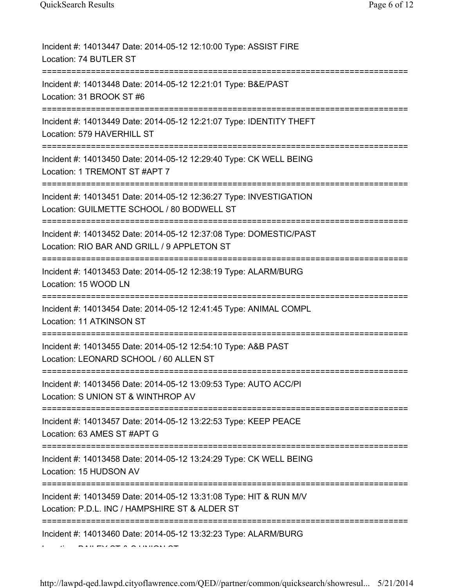| Incident #: 14013447 Date: 2014-05-12 12:10:00 Type: ASSIST FIRE<br>Location: 74 BUTLER ST                           |
|----------------------------------------------------------------------------------------------------------------------|
| Incident #: 14013448 Date: 2014-05-12 12:21:01 Type: B&E/PAST<br>Location: 31 BROOK ST #6                            |
| Incident #: 14013449 Date: 2014-05-12 12:21:07 Type: IDENTITY THEFT<br>Location: 579 HAVERHILL ST                    |
| Incident #: 14013450 Date: 2014-05-12 12:29:40 Type: CK WELL BEING<br>Location: 1 TREMONT ST #APT 7                  |
| Incident #: 14013451 Date: 2014-05-12 12:36:27 Type: INVESTIGATION<br>Location: GUILMETTE SCHOOL / 80 BODWELL ST     |
| Incident #: 14013452 Date: 2014-05-12 12:37:08 Type: DOMESTIC/PAST<br>Location: RIO BAR AND GRILL / 9 APPLETON ST    |
| Incident #: 14013453 Date: 2014-05-12 12:38:19 Type: ALARM/BURG<br>Location: 15 WOOD LN                              |
| Incident #: 14013454 Date: 2014-05-12 12:41:45 Type: ANIMAL COMPL<br>Location: 11 ATKINSON ST                        |
| Incident #: 14013455 Date: 2014-05-12 12:54:10 Type: A&B PAST<br>Location: LEONARD SCHOOL / 60 ALLEN ST              |
| Incident #: 14013456 Date: 2014-05-12 13:09:53 Type: AUTO ACC/PI<br>Location: S UNION ST & WINTHROP AV               |
| Incident #: 14013457 Date: 2014-05-12 13:22:53 Type: KEEP PEACE<br>Location: 63 AMES ST #APT G                       |
| Incident #: 14013458 Date: 2014-05-12 13:24:29 Type: CK WELL BEING<br>Location: 15 HUDSON AV                         |
| Incident #: 14013459 Date: 2014-05-12 13:31:08 Type: HIT & RUN M/V<br>Location: P.D.L. INC / HAMPSHIRE ST & ALDER ST |
| Incident #: 14013460 Date: 2014-05-12 13:32:23 Type: ALARM/BURG                                                      |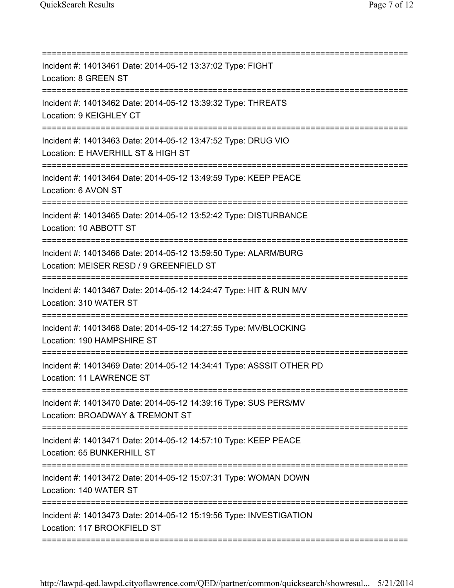| Incident #: 14013461 Date: 2014-05-12 13:37:02 Type: FIGHT<br>Location: 8 GREEN ST                                                      |
|-----------------------------------------------------------------------------------------------------------------------------------------|
| Incident #: 14013462 Date: 2014-05-12 13:39:32 Type: THREATS<br>Location: 9 KEIGHLEY CT<br>-------------------------------              |
| Incident #: 14013463 Date: 2014-05-12 13:47:52 Type: DRUG VIO<br>Location: E HAVERHILL ST & HIGH ST                                     |
| Incident #: 14013464 Date: 2014-05-12 13:49:59 Type: KEEP PEACE<br>Location: 6 AVON ST<br>-----------------------------------           |
| Incident #: 14013465 Date: 2014-05-12 13:52:42 Type: DISTURBANCE<br>Location: 10 ABBOTT ST                                              |
| Incident #: 14013466 Date: 2014-05-12 13:59:50 Type: ALARM/BURG<br>Location: MEISER RESD / 9 GREENFIELD ST<br>========================= |
| Incident #: 14013467 Date: 2014-05-12 14:24:47 Type: HIT & RUN M/V<br>Location: 310 WATER ST                                            |
| Incident #: 14013468 Date: 2014-05-12 14:27:55 Type: MV/BLOCKING<br>Location: 190 HAMPSHIRE ST                                          |
| Incident #: 14013469 Date: 2014-05-12 14:34:41 Type: ASSSIT OTHER PD<br>Location: 11 LAWRENCE ST                                        |
| Incident #: 14013470 Date: 2014-05-12 14:39:16 Type: SUS PERS/MV<br>Location: BROADWAY & TREMONT ST                                     |
| Incident #: 14013471 Date: 2014-05-12 14:57:10 Type: KEEP PEACE<br>Location: 65 BUNKERHILL ST                                           |
| Incident #: 14013472 Date: 2014-05-12 15:07:31 Type: WOMAN DOWN<br>Location: 140 WATER ST                                               |
| Incident #: 14013473 Date: 2014-05-12 15:19:56 Type: INVESTIGATION<br>Location: 117 BROOKFIELD ST                                       |
|                                                                                                                                         |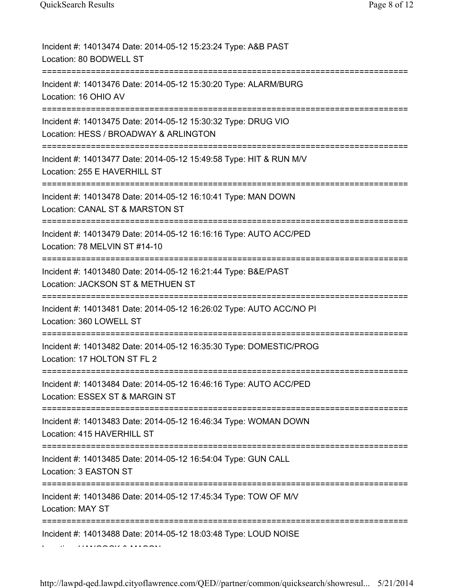| Incident #: 14013474 Date: 2014-05-12 15:23:24 Type: A&B PAST<br>Location: 80 BODWELL ST                                                    |
|---------------------------------------------------------------------------------------------------------------------------------------------|
| Incident #: 14013476 Date: 2014-05-12 15:30:20 Type: ALARM/BURG<br>Location: 16 OHIO AV<br>============                                     |
| Incident #: 14013475 Date: 2014-05-12 15:30:32 Type: DRUG VIO<br>Location: HESS / BROADWAY & ARLINGTON<br>--------------------------------- |
| Incident #: 14013477 Date: 2014-05-12 15:49:58 Type: HIT & RUN M/V<br>Location: 255 E HAVERHILL ST<br>===================================== |
| Incident #: 14013478 Date: 2014-05-12 16:10:41 Type: MAN DOWN<br>Location: CANAL ST & MARSTON ST                                            |
| Incident #: 14013479 Date: 2014-05-12 16:16:16 Type: AUTO ACC/PED<br>Location: 78 MELVIN ST #14-10<br>------------                          |
| Incident #: 14013480 Date: 2014-05-12 16:21:44 Type: B&E/PAST<br>Location: JACKSON ST & METHUEN ST                                          |
| Incident #: 14013481 Date: 2014-05-12 16:26:02 Type: AUTO ACC/NO PI<br>Location: 360 LOWELL ST                                              |
| Incident #: 14013482 Date: 2014-05-12 16:35:30 Type: DOMESTIC/PROG<br>Location: 17 HOLTON ST FL 2                                           |
| Incident #: 14013484 Date: 2014-05-12 16:46:16 Type: AUTO ACC/PED<br>Location: ESSEX ST & MARGIN ST<br>=============                        |
| Incident #: 14013483 Date: 2014-05-12 16:46:34 Type: WOMAN DOWN<br>Location: 415 HAVERHILL ST                                               |
| Incident #: 14013485 Date: 2014-05-12 16:54:04 Type: GUN CALL<br>Location: 3 EASTON ST                                                      |
| Incident #: 14013486 Date: 2014-05-12 17:45:34 Type: TOW OF M/V<br>Location: MAY ST                                                         |
| Incident #: 14013488 Date: 2014-05-12 18:03:48 Type: LOUD NOISE                                                                             |

http://lawpd-qed.lawpd.cityoflawrence.com/QED//partner/common/quicksearch/showresul... 5/21/2014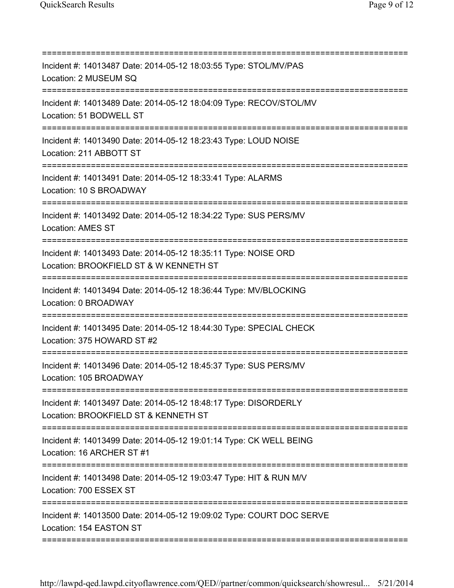| Incident #: 14013487 Date: 2014-05-12 18:03:55 Type: STOL/MV/PAS<br>Location: 2 MUSEUM SQ                                               |
|-----------------------------------------------------------------------------------------------------------------------------------------|
| Incident #: 14013489 Date: 2014-05-12 18:04:09 Type: RECOV/STOL/MV<br>Location: 51 BODWELL ST                                           |
| Incident #: 14013490 Date: 2014-05-12 18:23:43 Type: LOUD NOISE<br>Location: 211 ABBOTT ST                                              |
| Incident #: 14013491 Date: 2014-05-12 18:33:41 Type: ALARMS<br>Location: 10 S BROADWAY                                                  |
| Incident #: 14013492 Date: 2014-05-12 18:34:22 Type: SUS PERS/MV<br><b>Location: AMES ST</b><br>:=======================                |
| Incident #: 14013493 Date: 2014-05-12 18:35:11 Type: NOISE ORD<br>Location: BROOKFIELD ST & W KENNETH ST                                |
| Incident #: 14013494 Date: 2014-05-12 18:36:44 Type: MV/BLOCKING<br>Location: 0 BROADWAY                                                |
| Incident #: 14013495 Date: 2014-05-12 18:44:30 Type: SPECIAL CHECK<br>Location: 375 HOWARD ST #2                                        |
| Incident #: 14013496 Date: 2014-05-12 18:45:37 Type: SUS PERS/MV<br>Location: 105 BROADWAY                                              |
| Incident #: 14013497 Date: 2014-05-12 18:48:17 Type: DISORDERLY<br>Location: BROOKFIELD ST & KENNETH ST                                 |
| Incident #: 14013499 Date: 2014-05-12 19:01:14 Type: CK WELL BEING<br>Location: 16 ARCHER ST #1                                         |
| Incident #: 14013498 Date: 2014-05-12 19:03:47 Type: HIT & RUN M/V<br>Location: 700 ESSEX ST                                            |
| ====================================<br>Incident #: 14013500 Date: 2014-05-12 19:09:02 Type: COURT DOC SERVE<br>Location: 154 EASTON ST |
|                                                                                                                                         |

http://lawpd-qed.lawpd.cityoflawrence.com/QED//partner/common/quicksearch/showresul... 5/21/2014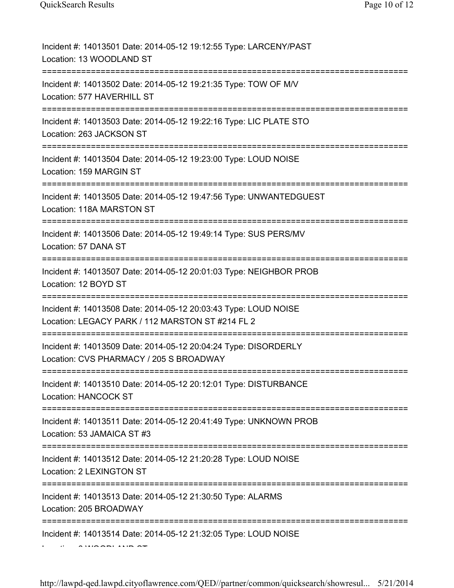| Incident #: 14013501 Date: 2014-05-12 19:12:55 Type: LARCENY/PAST<br>Location: 13 WOODLAND ST                                           |
|-----------------------------------------------------------------------------------------------------------------------------------------|
| Incident #: 14013502 Date: 2014-05-12 19:21:35 Type: TOW OF M/V<br>Location: 577 HAVERHILL ST                                           |
| Incident #: 14013503 Date: 2014-05-12 19:22:16 Type: LIC PLATE STO<br>Location: 263 JACKSON ST                                          |
| Incident #: 14013504 Date: 2014-05-12 19:23:00 Type: LOUD NOISE<br>Location: 159 MARGIN ST                                              |
| Incident #: 14013505 Date: 2014-05-12 19:47:56 Type: UNWANTEDGUEST<br>Location: 118A MARSTON ST                                         |
| Incident #: 14013506 Date: 2014-05-12 19:49:14 Type: SUS PERS/MV<br>Location: 57 DANA ST                                                |
| Incident #: 14013507 Date: 2014-05-12 20:01:03 Type: NEIGHBOR PROB<br>Location: 12 BOYD ST                                              |
| Incident #: 14013508 Date: 2014-05-12 20:03:43 Type: LOUD NOISE<br>Location: LEGACY PARK / 112 MARSTON ST #214 FL 2                     |
| Incident #: 14013509 Date: 2014-05-12 20:04:24 Type: DISORDERLY<br>Location: CVS PHARMACY / 205 S BROADWAY                              |
| Incident #: 14013510 Date: 2014-05-12 20:12:01 Type: DISTURBANCE<br><b>Location: HANCOCK ST</b>                                         |
| Incident #: 14013511 Date: 2014-05-12 20:41:49 Type: UNKNOWN PROB<br>Location: 53 JAMAICA ST #3<br>==================================== |
| Incident #: 14013512 Date: 2014-05-12 21:20:28 Type: LOUD NOISE<br>Location: 2 LEXINGTON ST                                             |
| Incident #: 14013513 Date: 2014-05-12 21:30:50 Type: ALARMS<br>Location: 205 BROADWAY                                                   |
| Incident #: 14013514 Date: 2014-05-12 21:32:05 Type: LOUD NOISE                                                                         |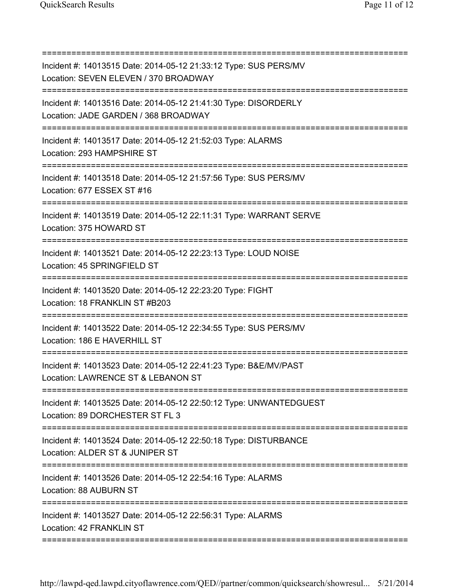| Incident #: 14013515 Date: 2014-05-12 21:33:12 Type: SUS PERS/MV<br>Location: SEVEN ELEVEN / 370 BROADWAY |
|-----------------------------------------------------------------------------------------------------------|
| Incident #: 14013516 Date: 2014-05-12 21:41:30 Type: DISORDERLY<br>Location: JADE GARDEN / 368 BROADWAY   |
| Incident #: 14013517 Date: 2014-05-12 21:52:03 Type: ALARMS<br>Location: 293 HAMPSHIRE ST                 |
| Incident #: 14013518 Date: 2014-05-12 21:57:56 Type: SUS PERS/MV<br>Location: 677 ESSEX ST #16            |
| Incident #: 14013519 Date: 2014-05-12 22:11:31 Type: WARRANT SERVE<br>Location: 375 HOWARD ST             |
| Incident #: 14013521 Date: 2014-05-12 22:23:13 Type: LOUD NOISE<br>Location: 45 SPRINGFIELD ST            |
| Incident #: 14013520 Date: 2014-05-12 22:23:20 Type: FIGHT<br>Location: 18 FRANKLIN ST #B203              |
| Incident #: 14013522 Date: 2014-05-12 22:34:55 Type: SUS PERS/MV<br>Location: 186 E HAVERHILL ST          |
| Incident #: 14013523 Date: 2014-05-12 22:41:23 Type: B&E/MV/PAST<br>Location: LAWRENCE ST & LEBANON ST    |
| Incident #: 14013525 Date: 2014-05-12 22:50:12 Type: UNWANTEDGUEST<br>Location: 89 DORCHESTER ST FL 3     |
| Incident #: 14013524 Date: 2014-05-12 22:50:18 Type: DISTURBANCE<br>Location: ALDER ST & JUNIPER ST       |
| Incident #: 14013526 Date: 2014-05-12 22:54:16 Type: ALARMS<br>Location: 88 AUBURN ST                     |
| Incident #: 14013527 Date: 2014-05-12 22:56:31 Type: ALARMS<br>Location: 42 FRANKLIN ST                   |
|                                                                                                           |

http://lawpd-qed.lawpd.cityoflawrence.com/QED//partner/common/quicksearch/showresul... 5/21/2014